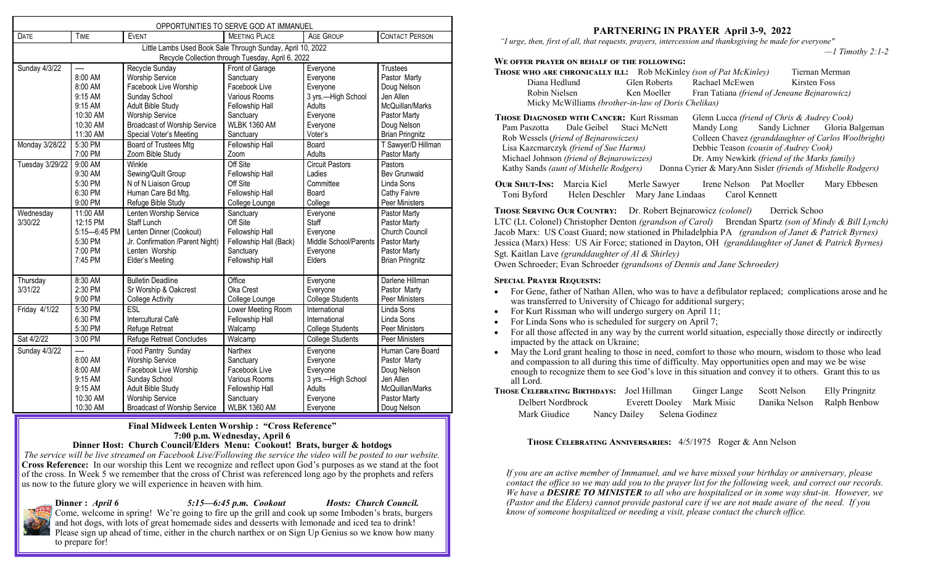| OPPORTUNITIES TO SERVE GOD AT IMMANUEL                     |                          |                                     |                        |                         |                        |  |  |
|------------------------------------------------------------|--------------------------|-------------------------------------|------------------------|-------------------------|------------------------|--|--|
| DATE                                                       | <b>TIME</b>              | <b>EVENT</b>                        | <b>MEETING PLACE</b>   | <b>AGE GROUP</b>        | <b>CONTACT PERSON</b>  |  |  |
| Little Lambs Used Book Sale Through Sunday, April 10, 2022 |                          |                                     |                        |                         |                        |  |  |
| Recycle Collection through Tuesday, April 6, 2022          |                          |                                     |                        |                         |                        |  |  |
| Sunday 4/3/22                                              |                          | Recycle Sunday                      | Front of Garage        | Everyone                | Trustees               |  |  |
|                                                            | 8:00 AM                  | <b>Worship Service</b>              | Sanctuary              | Everyone                | Pastor Marty           |  |  |
|                                                            | 8:00 AM                  | Facebook Live Worship               | Facebook Live          | Everyone                | Doug Nelson            |  |  |
|                                                            | 9:15 AM                  | Sunday School                       | Various Rooms          | 3 yrs.-High School      | Jen Allen              |  |  |
|                                                            | 9:15 AM                  | <b>Adult Bible Study</b>            | <b>Fellowship Hall</b> | Adults                  | McQuillan/Marks        |  |  |
|                                                            | 10:30 AM                 | <b>Worship Service</b>              | Sanctuary              | Everyone                | Pastor Marty           |  |  |
|                                                            | 10:30 AM                 | <b>Broadcast of Worship Service</b> | <b>WLBK 1360 AM</b>    | Everyone                | Doug Nelson            |  |  |
|                                                            | 11:30 AM                 | Special Voter's Meeting             | Sanctuary              | Voter's                 | <b>Brian Pringnitz</b> |  |  |
| Monday 3/28/22                                             | 5:30 PM                  | Board of Trustees Mtg               | Fellowship Hall        | Board                   | T Sawyer/D Hillman     |  |  |
|                                                            | 7:00 PM                  | Zoom Bible Study                    | Zoom                   | Adults                  | Pastor Marty           |  |  |
| Tuesday 3/29/22                                            | 9:00 AM                  | Winkle                              | Off Site               | <b>Circuit Pastors</b>  | Pastors                |  |  |
|                                                            | 9:30 AM                  | Sewing/Quilt Group                  | Fellowship Hall        | Ladies                  | <b>Bev Grunwald</b>    |  |  |
|                                                            | 5:30 PM                  | N of N Liaison Group                | Off Site               | Committee               | Linda Sons             |  |  |
|                                                            | 6:30 PM                  | Human Care Bd Mtg.                  | Fellowship Hall        | Board                   | Cathy Faivre           |  |  |
|                                                            | 9:00 PM                  | Refuge Bible Study                  | College Lounge         | College                 | Peer Ministers         |  |  |
| Wednesday                                                  | 11:00 AM                 | Lenten Worship Service              | Sanctuary              | Everyone                | Pastor Marty           |  |  |
| 3/30/22                                                    | 12:15 PM                 | <b>Staff Lunch</b>                  | Off Site               | Staff                   | Pastor Marty           |  |  |
|                                                            | 5:15-6:45 PM             | Lenten Dinner (Cookout)             | Fellowship Hall        | Everyone                | Church Council         |  |  |
|                                                            | 5:30 PM                  | Jr. Confirmation /Parent Night)     | Fellowship Hall (Back) | Middle School/Parents   | Pastor Marty           |  |  |
|                                                            | 7:00 PM                  | Lenten Worship                      | Sanctuary              | Everyone                | Pastor Marty           |  |  |
|                                                            | 7:45 PM                  | Elder's Meeting                     | Fellowship Hall        | Elders                  | <b>Brian Pringnitz</b> |  |  |
|                                                            |                          |                                     |                        |                         |                        |  |  |
| Thursday                                                   | 8:30 AM                  | <b>Bulletin Deadline</b>            | Office                 | Everyone                | Darlene Hillman        |  |  |
| 3/31/22                                                    | 2:30 PM                  | Sr Worship & Oakcrest               | Oka Crest              | Everyone                | Pastor Marty           |  |  |
|                                                            | 9:00 PM                  | <b>College Activity</b>             | College Lounge         | <b>College Students</b> | <b>Peer Ministers</b>  |  |  |
| Friday 4/1/22                                              | 5:30 PM                  | ESL                                 | Lower Meeting Room     | International           | Linda Sons             |  |  |
|                                                            | 6:30 PM                  | Intercultural Café                  | Fellowship Hall        | International           | Linda Sons             |  |  |
|                                                            | 5:30 PM                  | <b>Refuge Retreat</b>               | Walcamp                | <b>College Students</b> | Peer Ministers         |  |  |
| Sat 4/2/22                                                 | 3:00 PM                  | <b>Refuge Retreat Concludes</b>     | Walcamp                | <b>College Students</b> | Peer Ministers         |  |  |
| Sunday 4/3/22                                              | $\overline{\phantom{0}}$ | Food Pantry Sunday                  | Narthex                | Everyone                | Human Care Board       |  |  |
|                                                            | 8:00 AM                  | <b>Worship Service</b>              | Sanctuary              | Everyone                | Pastor Marty           |  |  |
|                                                            | 8:00 AM                  | Facebook Live Worship               | Facebook Live          | Everyone                | Doug Nelson            |  |  |
|                                                            | 9:15 AM                  | Sunday School                       | Various Rooms          | 3 yrs.-High School      | Jen Allen              |  |  |
|                                                            | 9:15 AM                  | Adult Bible Study                   | Fellowship Hall        | Adults                  | McQuillan/Marks        |  |  |
|                                                            | 10:30 AM                 | <b>Worship Service</b>              | Sanctuary              | Everyone                | Pastor Marty           |  |  |
|                                                            | 10:30 AM                 | <b>Broadcast of Worship Service</b> | <b>WLBK 1360 AM</b>    | Everyone                | Doug Nelson            |  |  |

### **Final Midweek Lenten Worship : "Cross Reference" 7:00 p.m. Wednesday, April 6**

**Dinner Host: Church Council/Elders Menu: Cookout! Brats, burger & hotdogs**

*The service will be live streamed on Facebook Live/Following the service the video will be posted to our website.* **Cross Reference:** In our worship this Lent we recognize and reflect upon God's purposes as we stand at the foot of the cross. In Week 5 we remember that the cross of Christ was referenced long ago by the prophets and refers us now to the future glory we will experience in heaven with him.

**Dinner :** *April 6 5:15—6:45 p.m. Cookout Hosts: Church Council.* 

Come, welcome in spring! We're going to fire up the grill and cook up some Imboden's brats, burgers and hot dogs, with lots of great homemade sides and desserts with lemonade and iced tea to drink! Please sign up ahead of time, either in the church narthex or on Sign Up Genius so we know how many to prepare for!

# **PARTNERING IN PRAYER April 3-9, 2022**

 *"I urge, then, first of all, that requests, prayers, intercession and thanksgiving be made for everyone"* 

*—1 Timothy 2:1-2*

# **We offer prayer on behalf of the following:**

| <b>THOSE WHO ARE CHRONICALLY ILL:</b> Rob McKinley (son of Pat McKinley) |                                                        |                                                     | Tiernan Merman |                               |  |  |  |  |
|--------------------------------------------------------------------------|--------------------------------------------------------|-----------------------------------------------------|----------------|-------------------------------|--|--|--|--|
| Diana Hedlund                                                            | Glen Roberts                                           | Rachael McEwen                                      |                | Kirsten Foss                  |  |  |  |  |
| Robin Nielsen                                                            | Ken Moeller                                            | Fran Tatiana (friend of Jeneane Bejnarowicz)        |                |                               |  |  |  |  |
| Micky McWilliams (brother-in-law of Doris Chelikas)                      |                                                        |                                                     |                |                               |  |  |  |  |
| <b>THOSE DIAGNOSED WITH CANCER:</b> Kurt Rissman                         | Glenn Lucca <i>(friend of Chris &amp; Audrey Cook)</i> |                                                     |                |                               |  |  |  |  |
| Pam Paszotta Dale Geibel Staci McNett                                    |                                                        | Mandy Long                                          |                | Sandy Lichner Gloria Balgeman |  |  |  |  |
| Rob Wessels (friend of Bejnarowiczes)                                    |                                                        | Colleen Chavez (granddaughter of Carlos Woolbright) |                |                               |  |  |  |  |
| Lisa Kazcmarczyk (friend of Sue Harms)                                   |                                                        | Debbie Teason (cousin of Audrey Cook)               |                |                               |  |  |  |  |
| Michael Johnson <i>(friend of Beinarowiczes)</i>                         |                                                        | Dr. Amy Newkirk <i>(friend of the Marks family)</i> |                |                               |  |  |  |  |

Kathy Sands *(aunt of Mishelle Rodgers)* Donna Cyrier & MaryAnn Sisler *(friends of Mishelle Rodgers)* **Our Shut-Ins:** Marcia Kiel Merle Sawyer Irene Nelson Pat Moeller Mary Ebbesen Toni Byford Helen Deschler Mary Jane Lindaas Carol Kennett

**Those Serving Our Country:** Dr. Robert Bejnarowicz *(colonel)* Derrick Schoo LTC (Lt. Colonel) Christopher Denton *(grandson of Carol)* Brendan Spartz *(son of Mindy & Bill Lynch)* Jacob Marx: US Coast Guard; now stationed in Philadelphia PA *(grandson of Janet & Patrick Byrnes)* Jessica (Marx) Hess: US Air Force; stationed in Dayton, OH *(granddaughter of Janet & Patrick Byrnes)* Sgt. Kaitlan Lave *(granddaughter of Al & Shirley)* 

Owen Schroeder; Evan Schroeder *(grandsons of Dennis and Jane Schroeder)*

# **Special Prayer Requests:**

- For Gene, father of Nathan Allen, who was to have a defibulator replaced; complications arose and he was transferred to University of Chicago for additional surgery;
- For Kurt Rissman who will undergo surgery on April 11;
- For Linda Sons who is scheduled for surgery on April 7;
- For all those affected in any way by the current world situation, especially those directly or indirectly impacted by the attack on Ukraine;
- May the Lord grant healing to those in need, comfort to those who mourn, wisdom to those who lead and compassion to all during this time of difficulty. May opportunities open and may we be wise enough to recognize them to see God's love in this situation and convey it to others. Grant this to us all Lord.
- **Those Celebrating Birthdays:** Joel Hillman Ginger Lange Scott Nelson Elly Pringnitz Delbert Nordbrock Everett Dooley Mark Misic Danika Nelson Ralph Benbow Mark Giudice Nancy Dailey Selena Godinez

**Those Celebrating Anniversaries:** 4/5/1975 Roger & Ann Nelson

*If you are an active member of Immanuel, and we have missed your birthday or anniversary, please contact the office so we may add you to the prayer list for the following week, and correct our records. We have a DESIRE TO MINISTER to all who are hospitalized or in some way shut-in. However, we (Pastor and the Elders) cannot provide pastoral care if we are not made aware of the need. If you know of someone hospitalized or needing a visit, please contact the church office.*